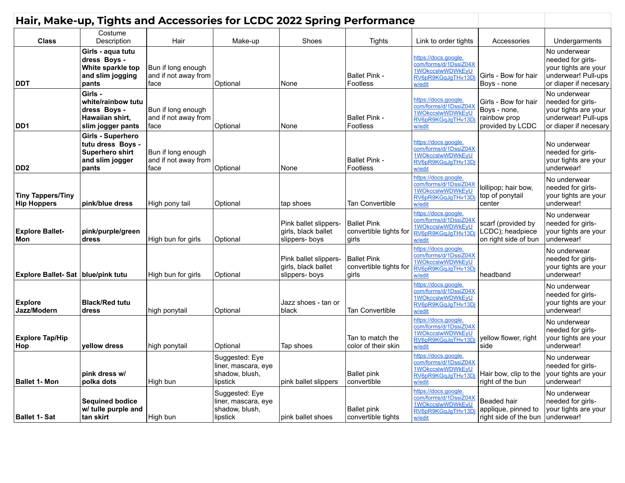| Hair, Make-up, Tights and Accessories for LCDC 2022 Spring Performance |                                                                                       |                                                    |                                                                     |                                                                |                                                       |                                                                                                   |                                                                          |                                                                                                           |  |
|------------------------------------------------------------------------|---------------------------------------------------------------------------------------|----------------------------------------------------|---------------------------------------------------------------------|----------------------------------------------------------------|-------------------------------------------------------|---------------------------------------------------------------------------------------------------|--------------------------------------------------------------------------|-----------------------------------------------------------------------------------------------------------|--|
| <b>Class</b>                                                           | Costume<br>Description                                                                | Hair                                               | Make-up                                                             | Shoes                                                          | Tights                                                | Link to order tights                                                                              | Accessories                                                              | Undergarments                                                                                             |  |
| <b>DDT</b>                                                             | Girls - aqua tutu<br>dress Boys -<br>White sparkle top<br>and slim jogging<br>pants   | Bun if long enough<br>and if not away from<br>face | Optional                                                            | None                                                           | <b>Ballet Pink -</b><br><b>Footless</b>               | https://docs.google.<br>com/forms/d/1DssiZ04X<br>1WOkccslwWDWkEyU<br>RV6pR9KGqJqTHv13D<br>w/edit  | Girls - Bow for hair<br>Boys - none                                      | No underwear<br>needed for girls-<br>your tights are your<br>underwear! Pull-ups<br>or diaper if necesary |  |
| DD <sub>1</sub>                                                        | Girls -<br>white/rainbow tutu<br>dress Boys -<br>Hawaiian shirt,<br>slim jogger pants | Bun if long enough<br>and if not away from<br>face | Optional                                                            | None                                                           | <b>Ballet Pink -</b><br>Footless                      | https://docs.google.<br>com/forms/d/1DssiZ04X<br>1WOkccslwWDWkEyU<br>RV6pR9KGqJqTHv13Dj<br>w/edit | Girls - Bow for hair<br>Boys - none,<br>rainbow prop<br>provided by LCDC | No underwear<br>needed for girls-<br>your tights are your<br>underwear! Pull-ups<br>or diaper if necesary |  |
| DD <sub>2</sub>                                                        | Girls - Superhero<br>tutu dress Boys -<br>Superhero shirt<br>and slim jogger<br>pants | Bun if long enough<br>and if not away from<br>face | Optional                                                            | None                                                           | <b>Ballet Pink -</b><br>Footless                      | https://docs.google.<br>com/forms/d/1DssiZ04X<br>1WOkccslwWDWkEyU<br>RV6pR9KGqJgTHv13Dj<br>w/edit |                                                                          | No underwear<br>needed for girls-<br>your tights are your<br>underwear!                                   |  |
| <b>Tiny Tappers/Tiny</b><br><b>Hip Hoppers</b>                         | pink/blue dress                                                                       | High pony tail                                     | Optional                                                            | tap shoes                                                      | <b>Tan Convertible</b>                                | https://docs.google.<br>com/forms/d/1DssiZ04X<br>1WOkccslwWDWkEyU<br>RV6pR9KGqJqTHv13D<br>w/edit  | lollipop; hair bow,<br>top of ponytail<br>center                         | No underwear<br>needed for girls-<br>your tights are your<br>underwear!                                   |  |
| <b>Explore Ballet-</b><br>Mon                                          | pink/purple/green<br>dress                                                            | High bun for girls                                 | Optional                                                            | Pink ballet slippers-<br>girls, black ballet<br>slippers- boys | <b>Ballet Pink</b><br>convertible tights for<br>girls | https://docs.google.<br>com/forms/d/1DssiZ04X<br>1WOkccslwWDWkEyU<br>RV6pR9KGqJqTHv13D<br>w/edit  | scarf (provided by<br>LCDC); headpiece<br>on right side of bun           | No underwear<br>needed for girls-<br>your tights are your<br>underwear!                                   |  |
| Explore Ballet-Sat   blue/pink tutu                                    |                                                                                       | High bun for girls                                 | Optional                                                            | Pink ballet slippers-<br>girls, black ballet<br>slippers-boys  | <b>Ballet Pink</b><br>convertible tights for<br>girls | https://docs.google.<br>com/forms/d/1DssiZ04X<br>1WOkccslwWDWkEyU<br>RV6pR9KGqJqTHv13D<br>w/edit  | headband                                                                 | No underwear<br>needed for girls-<br>your tights are your<br>underwear!                                   |  |
| <b>Explore</b><br>Jazz/Modern                                          | <b>Black/Red tutu</b><br>dress                                                        | high ponytail                                      | Optional                                                            | Jazz shoes - tan or<br>black                                   | <b>Tan Convertible</b>                                | https://docs.google.<br>com/forms/d/1DssiZ04X<br>1WOkccslwWDWkEyU<br>RV6pR9KGqJgTHv13D<br>w/edit  |                                                                          | No underwear<br>needed for girls-<br>your tights are your<br>underwear!                                   |  |
| <b>Explore Tap/Hip</b><br>Hop                                          | vellow dress                                                                          | high ponytail                                      | Optional                                                            | Tap shoes                                                      | Tan to match the<br>color of their skin               | https://docs.google.<br>com/forms/d/1DssiZ04X<br>1WOkccslwWDWkEyU<br>RV6pR9KGaJaTHv13Di<br>w/edit | yellow flower, right<br>side                                             | No underwear<br>needed for girls-<br>your tights are your<br>underwear!                                   |  |
| <b>Ballet 1- Mon</b>                                                   | pink dress w/<br>polka dots                                                           | High bun                                           | Suggested: Eye<br>liner, mascara, eye<br>shadow, blush,<br>lipstick | pink ballet slippers                                           | <b>Ballet pink</b><br>convertible                     | https://docs.google.<br>com/forms/d/1DssiZ04X<br>1WOkccslwWDWkEyU<br>RV6pR9KGqJqTHv13Dj<br>w/edit | Hair bow, clip to the<br>right of the bun                                | No underwear<br>needed for girls-<br>your tights are your<br>underwear!                                   |  |
| <b>Ballet 1- Sat</b>                                                   | <b>Sequined bodice</b><br>w/ tulle purple and<br>tan skirt                            | High bun                                           | Suggested: Eye<br>liner, mascara, eye<br>shadow, blush,<br>lipstick | pink ballet shoes                                              | <b>Ballet pink</b><br>convertible tights              | https://docs.google.<br>com/forms/d/1DssiZ04X<br>1WOkccslwWDWkEyU<br>RV6pR9KGqJqTHv13Dj<br>w/edit | Beaded hair<br>applique, pinned to<br>right side of the bun              | No underwear<br>needed for girls-<br>your tights are your<br>underwear!                                   |  |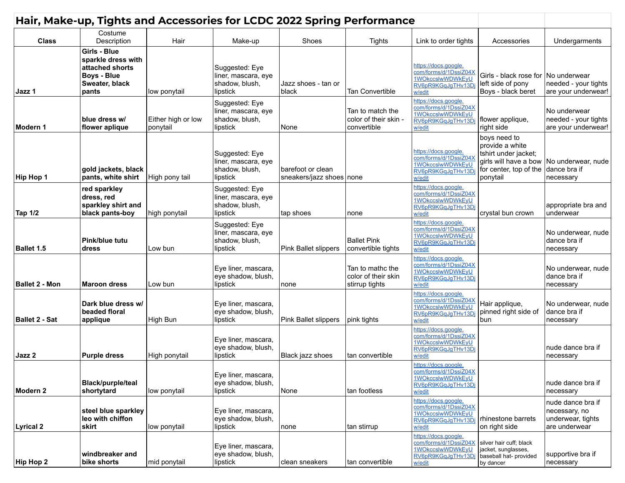| Hair, Make-up, Tights and Accessories for LCDC 2022 Spring Performance |                                                                                                        |                                |                                                                     |                                                 |                                                           |                                                                                                   |                                                                                               |                                                                          |
|------------------------------------------------------------------------|--------------------------------------------------------------------------------------------------------|--------------------------------|---------------------------------------------------------------------|-------------------------------------------------|-----------------------------------------------------------|---------------------------------------------------------------------------------------------------|-----------------------------------------------------------------------------------------------|--------------------------------------------------------------------------|
| <b>Class</b>                                                           | Costume<br>Description                                                                                 | Hair                           | Make-up                                                             | Shoes                                           | <b>Tights</b>                                             | Link to order tights                                                                              | Accessories                                                                                   | Undergarments                                                            |
| Jazz 1                                                                 | Girls - Blue<br>sparkle dress with<br>attached shorts<br><b>Boys - Blue</b><br>Sweater, black<br>pants | low ponytail                   | Suggested: Eye<br>liner, mascara, eye<br>shadow, blush,<br>lipstick | Jazz shoes - tan or<br>black                    | <b>Tan Convertible</b>                                    | https://docs.google.<br>com/forms/d/1DssiZ04X<br>1WOkccslwWDWkEyU<br>RV6pR9KGqJqTHv13D<br>w/edit  | Girls - black rose for   No underwear<br>left side of pony<br>Boys - black beret              | needed - your tights<br>are your underwear!                              |
| Modern 1                                                               | blue dress w/<br>flower aplique                                                                        | Either high or low<br>ponytail | Suggested: Eye<br>liner, mascara, eye<br>shadow, blush,<br>lipstick | None                                            | Tan to match the<br>color of their skin -<br>convertible  | https://docs.google.<br>com/forms/d/1DssiZ04X<br>1WOkccslwWDWkEyU<br>RV6pR9KGqJgTHv13Dj<br>w/edit | flower applique,<br>right side                                                                | No underwear<br>needed - your tights<br>are your underwear!              |
| Hip Hop 1                                                              | gold jackets, black<br>pants, white shirt                                                              | High pony tail                 | Suggested: Eye<br>liner, mascara, eye<br>shadow, blush,<br>lipstick | barefoot or clean<br>sneakers/jazz shoes   none |                                                           | https://docs.google.<br>com/forms/d/1DssiZ04X<br>1WOkccslwWDWkEyU<br>RV6pR9KGqJqTHv13Dj<br>w/edit | boys need to<br>provide a white<br>tshirt under jacket;<br>for center, top of the<br>ponytail | girls will have a bow No underwear, nude<br>dance bra if<br>necessary    |
| <b>Tap 1/2</b>                                                         | red sparkley<br>dress, red<br>sparkley shirt and<br>black pants-boy                                    | high ponytail                  | Suggested: Eye<br>liner, mascara, eye<br>shadow, blush,<br>lipstick | tap shoes                                       | none                                                      | https://docs.google.<br>com/forms/d/1DssiZ04X<br>1WOkccslwWDWkEyU<br>RV6pR9KGqJqTHv13Dj<br>w/edit | crystal bun crown                                                                             | appropriate bra and<br>lunderwear                                        |
| <b>Ballet 1.5</b>                                                      | Pink/blue tutu<br>dress                                                                                | Low bun                        | Suggested: Eye<br>liner, mascara, eye<br>shadow, blush,<br>lipstick | Pink Ballet slippers                            | <b>Ballet Pink</b><br>convertible tights                  | https://docs.google.<br>com/forms/d/1DssiZ04X<br>1WOkccslwWDWkEyU<br>RV6pR9KGqJqTHv13Dj<br>w/edit |                                                                                               | No underwear, nude<br>dance bra if<br>necessary                          |
| <b>Ballet 2 - Mon</b>                                                  | <b>Maroon dress</b>                                                                                    | Low bun                        | Eye liner, mascara,<br>eye shadow, blush,<br>lipstick               | none                                            | Tan to mathc the<br>color of their skin<br>stirrup tights | https://docs.google.<br>com/forms/d/1DssiZ04X<br>1WOkccslwWDWkEyU<br>RV6pR9KGqJgTHv13Dj<br>w/edit |                                                                                               | No underwear, nude<br>dance bra if<br>necessary                          |
| <b>Ballet 2 - Sat</b>                                                  | Dark blue dress w/<br>beaded floral<br>applique                                                        | High Bun                       | Eye liner, mascara,<br>eye shadow, blush,<br>lipstick               | Pink Ballet slippers                            | pink tights                                               | https://docs.google.<br>com/forms/d/1DssiZ04X<br>1WOkccslwWDWkEyU<br>RV6pR9KGqJgTHv13Dj<br>w/edit | Hair applique,<br>pinned right side of<br>bun                                                 | No underwear, nude<br>dance bra if<br>necessary                          |
| Jazz 2                                                                 | <b>Purple dress</b>                                                                                    | High ponytail                  | Eye liner, mascara,<br>eye shadow, blush,<br>lipstick               | Black jazz shoes                                | tan convertible                                           | https://docs.google.<br>com/forms/d/1DssiZ04X<br>1WOkccslwWDWkEyU<br>RV6pR9KGqJgTHv13Dj<br>w/edit |                                                                                               | nude dance bra if<br>necessary                                           |
| Modern 2                                                               | <b>Black/purple/teal</b><br>shortytard                                                                 | low ponytail                   | Eye liner, mascara,<br>eye shadow, blush,<br>lipstick               | None                                            | tan footless                                              | https://docs.google.<br>com/forms/d/1DssiZ04X<br>1WOkccslwWDWkEyU<br>RV6pR9KGqJgTHv13Dj<br>w/edit |                                                                                               | nude dance bra if<br>necessary                                           |
| <b>Lyrical 2</b>                                                       | steel blue sparkley<br>leo with chiffon<br>skirt                                                       | low ponytail                   | Eye liner, mascara,<br>eye shadow, blush,<br>lipstick               | none                                            | tan stirrup                                               | https://docs.google.<br>com/forms/d/1DssiZ04X<br>1WOkccslwWDWkEvU<br>RV6pR9KGqJgTHv13Dj<br>w/edit | rhinestone barrets<br>on right side                                                           | nude dance bra if<br>necessary, no<br>underwear, tights<br>are underwear |
| Hip Hop 2                                                              | windbreaker and<br>bike shorts                                                                         | mid ponytail                   | Eye liner, mascara,<br>eye shadow, blush,<br>lipstick               | clean sneakers                                  | tan convertible                                           | https://docs.google.<br>com/forms/d/1DssiZ04X<br>1WOkccslwWDWkEyU<br>RV6pR9KGqJgTHv13Dj<br>w/edit | silver hair cuff; black<br>jacket, sunglasses,<br>baseball hat- provided<br>by dancer         | supportive bra if<br>necessary                                           |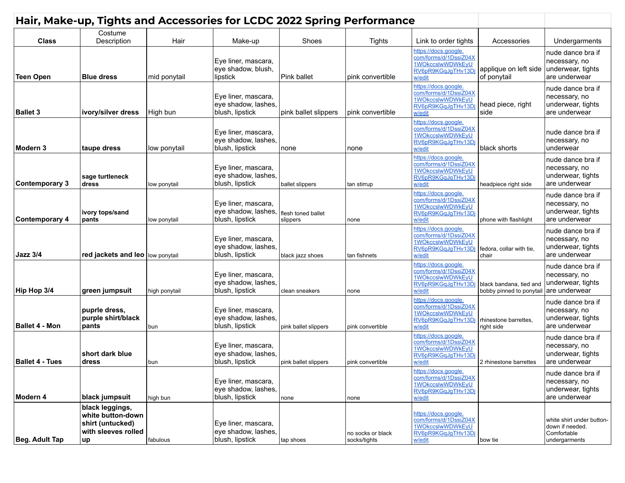| Hair, Make-up, Tights and Accessories for LCDC 2022 Spring Performance |                                                                                              |               |                                                               |                                |                                   |                                                                                                                          |                                                                   |                                                                                           |
|------------------------------------------------------------------------|----------------------------------------------------------------------------------------------|---------------|---------------------------------------------------------------|--------------------------------|-----------------------------------|--------------------------------------------------------------------------------------------------------------------------|-------------------------------------------------------------------|-------------------------------------------------------------------------------------------|
| <b>Class</b>                                                           | Costume<br>Description                                                                       | Hair          | Make-up                                                       | Shoes                          | <b>Tights</b>                     |                                                                                                                          | Accessories                                                       |                                                                                           |
| <b>Teen Open</b>                                                       | <b>Blue dress</b>                                                                            | mid ponytail  | Eye liner, mascara,<br>eye shadow, blush,<br>lipstick         | Pink ballet                    | pink convertible                  | Link to order tights<br>https://docs.google.<br>com/forms/d/1DssiZ04X<br>1WOkccslwWDWkEyU<br>RV6pR9KGqJgTHv13D<br>w/edit | applique on left side<br>of ponytail                              | Undergarments<br>nude dance bra if<br>necessary, no<br>underwear, tights<br>are underwear |
| <b>Ballet 3</b>                                                        | ivory/silver dress                                                                           | High bun      | Eye liner, mascara,<br>eye shadow, lashes,<br>blush, lipstick | pink ballet slippers           | pink convertible                  | https://docs.google.<br>com/forms/d/1DssiZ04X<br>1WOkccslwWDWkEyU<br>RV6pR9KGqJgTHv13D<br>w/edit                         | head piece, right<br>side                                         | nude dance bra if<br>necessary, no<br>underwear, tights<br>are underwear                  |
| Modern 3                                                               | taupe dress                                                                                  | low ponytail  | Eye liner, mascara,<br>eye shadow, lashes,<br>blush, lipstick | none                           | none                              | https://docs.google.<br>com/forms/d/1DssiZ04X<br>1WOkccslwWDWkEyU<br>RV6pR9KGqJgTHv13D<br>w/edit                         | black shorts                                                      | nude dance bra if<br>necessary, no<br>underwear                                           |
| Contemporary 3                                                         | sage turtleneck<br>dress                                                                     | low ponytail  | Eye liner, mascara,<br>eye shadow, lashes,<br>blush, lipstick | ballet slippers                | tan stirrup                       | https://docs.google.<br>com/forms/d/1DssiZ04X<br>1WOkccslwWDWkEyU<br>RV6pR9KGqJqTHv13Dj<br>w/edit                        | headpiece right side                                              | nude dance bra if<br>necessary, no<br>underwear, tights<br>are underwear                  |
| <b>Contemporary 4</b>                                                  | ivory tops/sand<br>pants                                                                     | low ponytail  | Eye liner, mascara,<br>eye shadow, lashes,<br>blush, lipstick | flesh toned ballet<br>slippers | none                              | https://docs.google.<br>com/forms/d/1DssiZ04X<br>1WOkccslwWDWkEyU<br>RV6pR9KGqJqTHv13Dj<br>w/edit                        | phone with flashlight                                             | nude dance bra if<br>necessary, no<br>underwear, tights<br>are underwear                  |
| <b>Jazz 3/4</b>                                                        | red jackets and leo low ponytail                                                             |               | Eye liner, mascara,<br>eye shadow, lashes,<br>blush, lipstick | black jazz shoes               | tan fishnets                      | https://docs.google.<br>com/forms/d/1DssiZ04X<br>1WOkccslwWDWkEyU<br>RV6pR9KGqJgTHv13D<br>w/edit                         | fedora, collar with tie,<br>chair                                 | nude dance bra if<br>necessary, no<br>underwear, tights<br>are underwear                  |
| Hip Hop 3/4                                                            | green jumpsuit                                                                               | high ponytail | Eye liner, mascara,<br>eye shadow, lashes,<br>blush, lipstick | clean sneakers                 | none                              | https://docs.google.<br>com/forms/d/1DssiZ04X<br>1WOkccslwWDWkEyU<br>RV6pR9KGqJqTHv13Dj<br>w/edit                        | black bandana, tied and<br>bobby pinned to ponytail are underwear | nude dance bra if<br>necessary, no<br>underwear, tights                                   |
| <b>Ballet 4 - Mon</b>                                                  | puprle dress,<br>purple shirt/black<br>pants                                                 | bun           | Eye liner, mascara,<br>eye shadow, lashes,<br>blush, lipstick | pink ballet slippers           | pink convertible                  | https://docs.google.<br>com/forms/d/1DssiZ04X<br>1WOkccslwWDWkEyU<br>RV6pR9KGqJqTHv13Dj<br>w/edit                        | rhinestone barrettes.<br>right side                               | nude dance bra if<br>necessary, no<br>underwear, tights<br>are underwear                  |
| <b>Ballet 4 - Tues</b>                                                 | short dark blue<br>dress                                                                     | bun           | Eye liner, mascara,<br>eye shadow, lashes,<br>blush, lipstick | pink ballet slippers           | pink convertible                  | https://docs.google.<br>com/forms/d/1DssiZ04X<br>1WOkccslwWDWkEyU<br>RV6pR9KGqJqTHv13D<br>w/edit                         | 2 rhinestone barrettes                                            | nude dance bra if<br>necessary, no<br>underwear, tights<br>are underwear                  |
| Modern 4                                                               | black jumpsuit                                                                               | high bun      | Eye liner, mascara,<br>eye shadow, lashes,<br>blush, lipstick | none                           | none                              | https://docs.google.<br>com/forms/d/1DssiZ04X<br>1WOkccslwWDWkEyU<br>RV6pR9KGqJgTHv13Dj<br>w/edit                        |                                                                   | nude dance bra if<br>necessary, no<br>underwear, tights<br>are underwear                  |
| Beg. Adult Tap                                                         | black leggings,<br>white button-down<br>shirt (untucked)<br>with sleeves rolled<br><b>up</b> | fabulous      | Eye liner, mascara,<br>eye shadow, lashes,<br>blush, lipstick | tap shoes                      | no socks or black<br>socks/tights | https://docs.google.<br>com/forms/d/1DssiZ04X<br>1WOkccslwWDWkEyU<br>RV6pR9KGqJqTHv13Di<br>w/edit                        | bow tie                                                           | white shirt under button-<br>down if needed.<br>Comfortable<br>undergarments              |